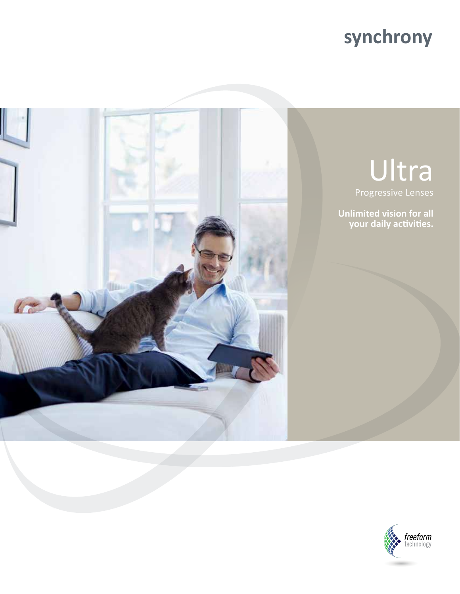# **synchrony**



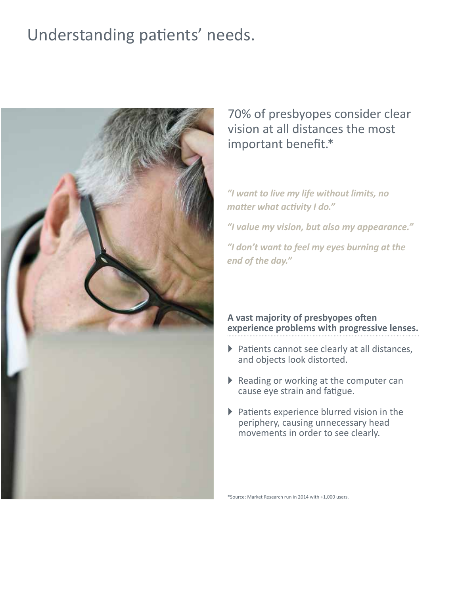### Understanding patients' needs.



### 70% of presbyopes consider clear vision at all distances the most important benefit.\*

#### *"I want to live my life without limits, no matter what activity I do."*

*"I value my vision, but also my appearance."*

*"I don't want to feel my eyes burning at the end of the day."*

#### **A vast majority of presbyopes often experience problems with progressive lenses.**

- $\blacktriangleright$  Patients cannot see clearly at all distances, and objects look distorted.
- $\triangleright$  Reading or working at the computer can cause eye strain and fatigue.
- $\blacktriangleright$  Patients experience blurred vision in the periphery, causing unnecessary head movements in order to see clearly.

\*Source: Market Research run in 2014 with +1,000 users.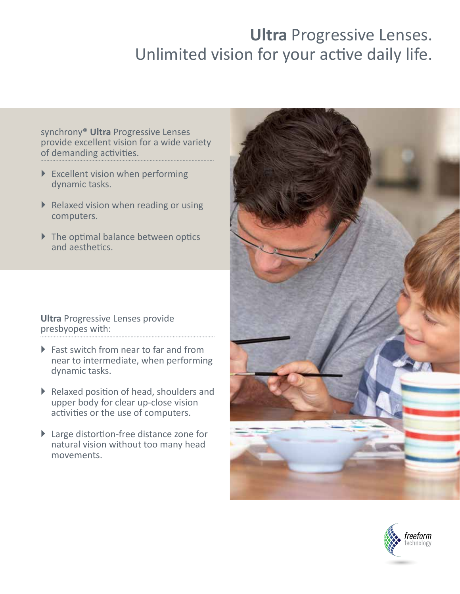## **Ultra** Progressive Lenses. Unlimited vision for your active daily life.

synchrony® **Ultra** Progressive Lenses provide excellent vision for a wide variety of demanding activities.

- $\blacktriangleright$  Excellent vision when performing dynamic tasks.
- $\triangleright$  Relaxed vision when reading or using computers.
- $\triangleright$  The optimal balance between optics and aesthetics.

**Ultra** Progressive Lenses provide presbyopes with:

- $\triangleright$  Fast switch from near to far and from near to intermediate, when performing dynamic tasks.
- ` Relaxed position of head, shoulders and upper body for clear up-close vision activities or the use of computers.
- ▶ Large distortion-free distance zone for natural vision without too many head movements.



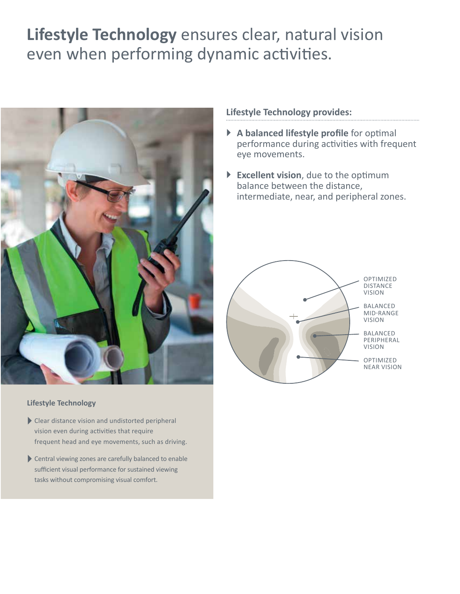### **Lifestyle Technology** ensures clear, natural vision even when performing dynamic activities.



#### **Lifestyle Technology**

- Clear distance vision and undistorted peripheral vision even during activities that require frequent head and eye movements, such as driving.
- Central viewing zones are carefully balanced to enable sufficient visual performance for sustained viewing tasks without compromising visual comfort.

#### **Lifestyle Technology provides:**

- ` **A balanced lifestyle profile** for optimal performance during activities with frequent eye movements.
- ` **Excellent vision**, due to the optimum balance between the distance, intermediate, near, and peripheral zones.

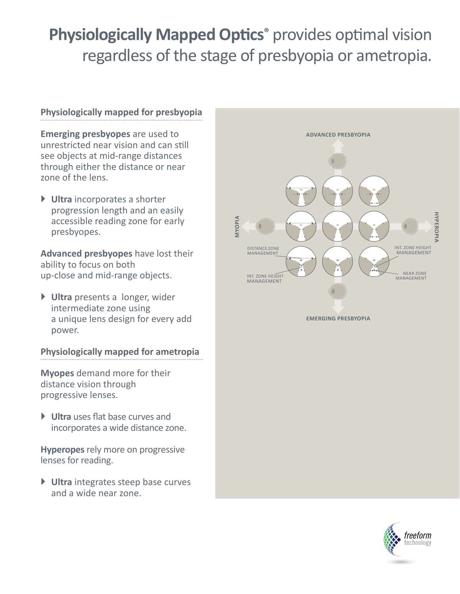# **Physiologically Mapped Optics®** provides optimal vision regardless of the stage of presbyopia or ametropia.

#### **Physiologically mapped for presbyopia**

**Emerging presbyopes** are used to unrestricted near vision and can still see objects at mid-range distances through either the distance or near zone of the lens.

` **Ultra** incorporates a shorter progression length and an easily accessible reading zone for early presbyopes.

**Advanced presbyopes** have lost their ability to focus on both up-close and mid-range objects.

` **Ultra** presents a longer, wider intermediate zone using a unique lens design for every add power.

#### **Physiologically mapped for ametropia**

**Myopes** demand more for their distance vision through progressive lenses.

` **Ultra** uses flat base curves and incorporates a wide distance zone.

**Hyperopes** rely more on progressive lenses for reading.

` **Ultra** integrates steep base curves and a wide near zone.



**EMERGING PRESBYOPIA**

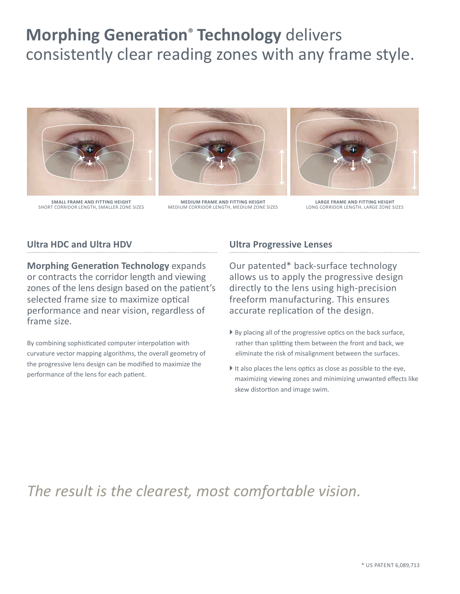## **Morphing Generation® Technology** delivers consistently clear reading zones with any frame style.



**SMALL FRAME AND FITTING HEIGHT** SHORT CORRIDOR LENGTH, SMALLER ZONE SIZES



**MEDIUM FRAME AND FITTING HEIGHT** MEDIUM CORRIDOR LENGTH, MEDIUM ZONE SIZES



**LARGE FRAME AND FITTING HEIGHT** LONG CORRIDOR LENGTH, LARGE ZONE SIZES

#### **Ultra HDC and Ultra HDV**

**Morphing Generation Technology** expands or contracts the corridor length and viewing zones of the lens design based on the patient's selected frame size to maximize optical performance and near vision, regardless of frame size.

By combining sophisticated computer interpolation with curvature vector mapping algorithms, the overall geometry of the progressive lens design can be modified to maximize the performance of the lens for each patient.

#### **Ultra Progressive Lenses**

Our patented\* back-surface technology allows us to apply the progressive design directly to the lens using high-precision freeform manufacturing. This ensures accurate replication of the design.

- By placing all of the progressive optics on the back surface, rather than splitting them between the front and back, we eliminate the risk of misalignment between the surfaces.
- $\blacktriangleright$  It also places the lens optics as close as possible to the eye, maximizing viewing zones and minimizing unwanted effects like skew distortion and image swim.

### *The result is the clearest, most comfortable vision.*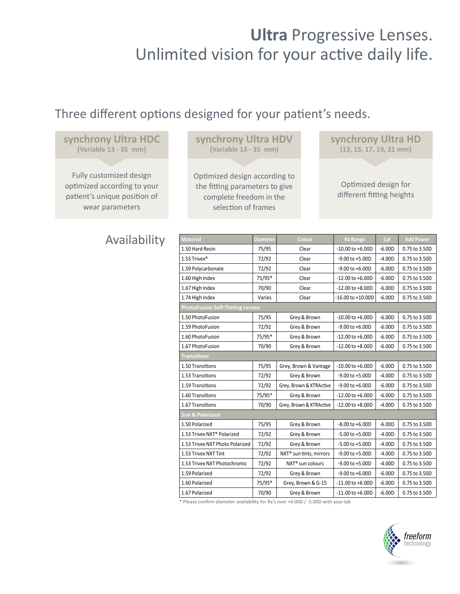### **Ultra** Progressive Lenses. Unlimited vision for your active daily life.

### Three different options designed for your patient's needs.

#### **synchrony Ultra HDC (Variable 13 - 35 mm)**

Fully customized design optimized according to your patient's unique position of wear parameters

### Availability **Material Diameter Colour Rx Range Cyl Add Power**

**synchrony Ultra HDV (Variable 13 - 35 mm)**

Optimized design according to the fitting parameters to give complete freedom in the selection of frames

**synchrony Ultra HD (13, 15, 17, 19, 21 mm)**

Optimized design for different fitting heights

| <b>Material</b>                        | <b>Diameter</b> | Colour                              | <b>Rx Range</b>       | Cyl      | <b>Add Power</b> |
|----------------------------------------|-----------------|-------------------------------------|-----------------------|----------|------------------|
| 1.50 Hard Resin                        | 75/95           | Clear                               | $-10.00$ to $+6.00D$  | $-6.00D$ | 0.75 to 3.50D    |
| 1.53 Trivex®                           | 72/92           | Clear                               | -9.00 to +5.00D       | $-4.00D$ | 0.75 to 3.50D    |
| 1.59 Polycarbonate                     | 72/92           | Clear                               | $-9.00$ to $+6.00D$   | $-6.00D$ | 0.75 to 3.50D    |
| 1.60 High Index                        | 75/95*          | Clear                               | $-12.00$ to $+6.00D$  | $-6.00D$ | 0.75 to 3.50D    |
| 1.67 High Index                        | 70/90           | Clear                               | $-12.00$ to $+8.00$ D | $-6.00D$ | 0.75 to 3.50D    |
| 1.74 High Index                        | Varies          | Clear                               | $-16.00$ to $+10.00D$ | $-6.00D$ | 0.75 to 3.50D    |
| <b>PhotoFusion Self-Tinting Lenses</b> |                 |                                     |                       |          |                  |
| 1.50 PhotoFusion                       | 75/95           | Grey & Brown                        | $-10.00$ to $+6.00D$  | $-6.00D$ | 0.75 to 3.50D    |
| 1.59 PhotoFusion                       | 72/92           | Grey & Brown                        | $-9.00$ to $+6.00D$   | $-6.00D$ | 0.75 to 3.50D    |
| 1.60 PhotoFusion                       | 75/95*          | Grey & Brown                        | $-12.00$ to $+6.00D$  | $-6.00D$ | 0.75 to 3.50D    |
| 1.67 PhotoFusion                       | 70/90           | Grey & Brown                        | $-12.00$ to $+8.00D$  | $-6.00D$ | 0.75 to 3.50D    |
| <b>Transitions</b>                     |                 |                                     |                       |          |                  |
| 1.50 Transitions                       | 75/95           | Grey, Brown & Vantage               | $-10.00$ to $+6.00D$  | $-6.00D$ | 0.75 to 3.50D    |
| 1.53 Transitions                       | 72/92           | Grey & Brown                        | $-9.00$ to $+5.00$ D  | $-4.00D$ | 0.75 to 3.50D    |
| 1.59 Transitions                       | 72/92           | Grey, Brown & XTRActive             | $-9.00$ to $+6.00D$   | $-6.00D$ | 0.75 to 3.50D    |
| 1.60 Transitions                       | 75/95*          | Grey & Brown                        | $-12.00$ to $+6.00$ D | $-6.00D$ | 0.75 to 3.50D    |
| 1.67 Transitions                       | 70/90           | Grey, Brown & XTRActive             | $-12.00$ to $+8.00$ D | $-4.00D$ | 0.75 to 3.50D    |
| <b>Sun &amp; Polarized</b>             |                 |                                     |                       |          |                  |
| 1.50 Polarized                         | 75/95           | Grey & Brown                        | $-8.00$ to $+6.00D$   | $-6.00D$ | 0.75 to 3.50D    |
| 1.53 Trivex NXT <sup>®</sup> Polarized | 72/92           | Grey & Brown                        | -5.00 to +5.00D       | $-4.00D$ | 0.75 to 3.50D    |
| 1.53 Trivex NXT Photo Polarized        | 72/92           | Grey & Brown                        | -5.00 to +5.00D       | $-4.00D$ | 0.75 to 3.50D    |
| 1.53 Trivex NXT Tint                   | 72/92           | NXT <sup>®</sup> sun tints, mirrors | $-9.00$ to $+5.00$ D  | $-4.00D$ | 0.75 to 3.50D    |
| 1.53 Trivex NXT Photochromic           | 72/92           | NXT <sup>®</sup> sun colours        | -9.00 to +5.00D       | $-4.00D$ | 0.75 to 3.50D    |
| 1.59 Polarized                         | 72/92           | Grey & Brown                        | $-9.00$ to $+6.00D$   | $-6.00D$ | 0.75 to 3.50D    |
| 1.60 Polarized                         | 75/95*          | Grey, Brown & G-15                  | $-11.00$ to $+6.00D$  | $-6.00D$ | 0.75 to 3.50D    |
| 1.67 Polarized                         | 70/90           | Grey & Brown                        | $-11.00$ to $+6.00D$  | $-6.00D$ | 0.75 to 3.50D    |

\* Please confirm diameter availability for Rx's over +4.00D / -5.00D with your lab